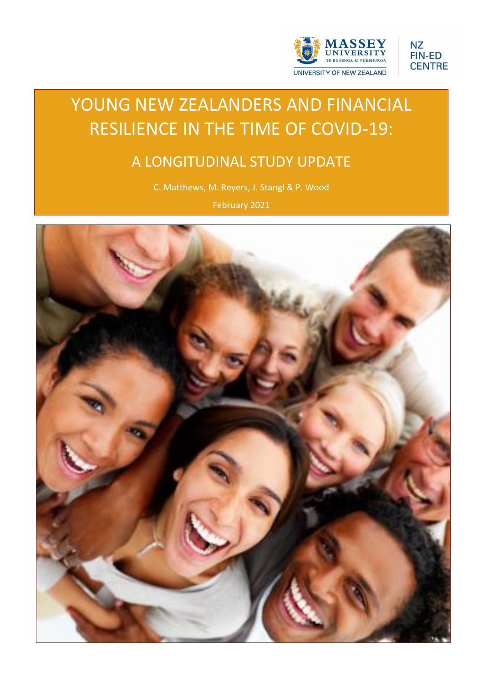



# YOUNG NEW ZEALANDERS AND FINANCIAL RESILIENCE IN THE TIME OF COVID-19:

## A LONGITUDINAL STUDY UPDATE

C. Matthews, M. Reyers, J. Stangl & P. Wood

February 2021

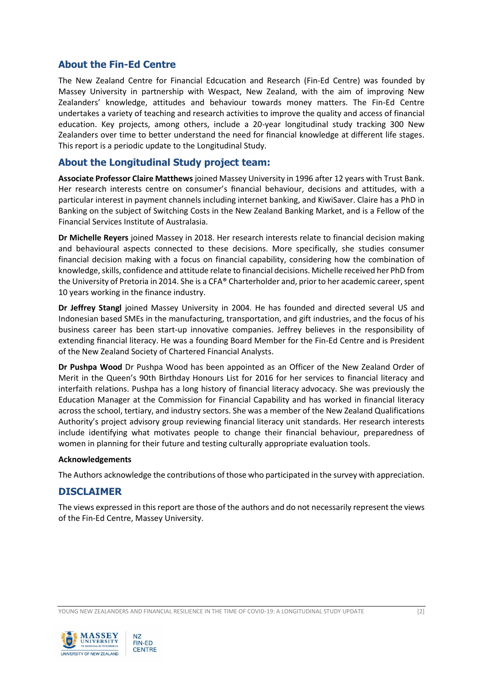## **About the Fin-Ed Centre**

The New Zealand Centre for Financial Edcucation and Research (Fin-Ed Centre) was founded by Massey University in partnership with Wespact, New Zealand, with the aim of improving New Zealanders' knowledge, attitudes and behaviour towards money matters. The Fin-Ed Centre undertakes a variety of teaching and research activities to improve the quality and access of financial education. Key projects, among others, include a 20-year longitudinal study tracking 300 New Zealanders over time to better understand the need for financial knowledge at different life stages. This report is a periodic update to the Longitudinal Study.

#### **About the Longitudinal Study project team:**

**Associate Professor Claire Matthews** joined Massey University in 1996 after 12 years with Trust Bank. Her research interests centre on consumer's financial behaviour, decisions and attitudes, with a particular interest in payment channels including internet banking, and KiwiSaver. Claire has a PhD in Banking on the subject of Switching Costs in the New Zealand Banking Market, and is a Fellow of the Financial Services Institute of Australasia.

**Dr Michelle Reyers** joined Massey in 2018. Her research interests relate to financial decision making and behavioural aspects connected to these decisions. More specifically, she studies consumer financial decision making with a focus on financial capability, considering how the combination of knowledge, skills, confidence and attitude relate to financial decisions. Michelle received her PhD from the University of Pretoria in 2014. She is a CFA® Charterholder and, prior to her academic career, spent 10 years working in the finance industry.

**Dr Jeffrey Stangl** joined Massey University in 2004. He has founded and directed several US and Indonesian based SMEs in the manufacturing, transportation, and gift industries, and the focus of his business career has been start-up innovative companies. Jeffrey believes in the responsibility of extending financial literacy. He was a founding Board Member for the Fin-Ed Centre and is President of the New Zealand Society of Chartered Financial Analysts.

**Dr Pushpa Wood** Dr Pushpa Wood has been appointed as an Officer of the New Zealand Order of Merit in the Queen's 90th Birthday Honours List for 2016 for her services to financial literacy and interfaith relations. Pushpa has a long history of financial literacy advocacy. She was previously the Education Manager at the Commission for Financial Capability and has worked in financial literacy across the school, tertiary, and industry sectors. She was a member of the New Zealand Qualifications Authority's project advisory group reviewing financial literacy unit standards. Her research interests include identifying what motivates people to change their financial behaviour, preparedness of women in planning for their future and testing culturally appropriate evaluation tools.

#### **Acknowledgements**

The Authors acknowledge the contributions of those who participated in the survey with appreciation.

#### **DISCLAIMER**

The views expressed in this report are those of the authors and do not necessarily represent the views of the Fin-Ed Centre, Massey University.

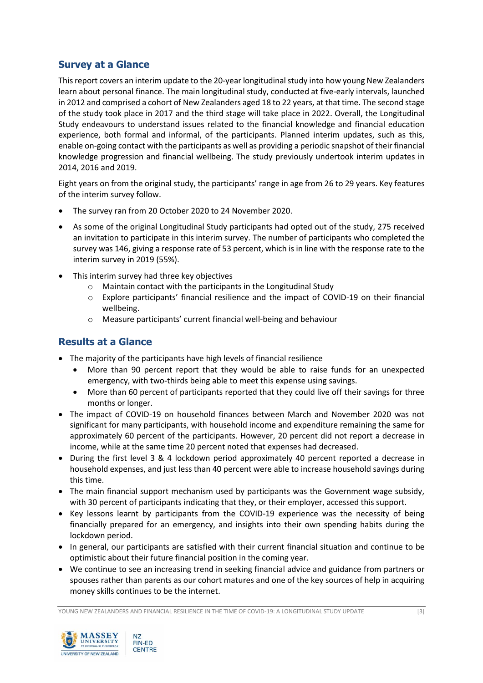## **Survey at a Glance**

This report covers an interim update to the 20-year longitudinal study into how young New Zealanders learn about personal finance. The main longitudinal study, conducted at five-early intervals, launched in 2012 and comprised a cohort of New Zealanders aged 18 to 22 years, at that time. The second stage of the study took place in 2017 and the third stage will take place in 2022. Overall, the Longitudinal Study endeavours to understand issues related to the financial knowledge and financial education experience, both formal and informal, of the participants. Planned interim updates, such as this, enable on-going contact with the participants as well as providing a periodic snapshot of their financial knowledge progression and financial wellbeing. The study previously undertook interim updates in 2014, 2016 and 2019.

Eight years on from the original study, the participants' range in age from 26 to 29 years. Key features of the interim survey follow.

- The survey ran from 20 October 2020 to 24 November 2020.
- As some of the original Longitudinal Study participants had opted out of the study, 275 received an invitation to participate in this interim survey. The number of participants who completed the survey was 146, giving a response rate of 53 percent, which is in line with the response rate to the interim survey in 2019 (55%).
- This interim survey had three key objectives
	- o Maintain contact with the participants in the Longitudinal Study
	- $\circ$  Explore participants' financial resilience and the impact of COVID-19 on their financial wellbeing.
	- o Measure participants' current financial well-being and behaviour

## **Results at a Glance**

- The majority of the participants have high levels of financial resilience
	- More than 90 percent report that they would be able to raise funds for an unexpected emergency, with two-thirds being able to meet this expense using savings.
	- More than 60 percent of participants reported that they could live off their savings for three months or longer.
- The impact of COVID-19 on household finances between March and November 2020 was not significant for many participants, with household income and expenditure remaining the same for approximately 60 percent of the participants. However, 20 percent did not report a decrease in income, while at the same time 20 percent noted that expenses had decreased.
- During the first level 3 & 4 lockdown period approximately 40 percent reported a decrease in household expenses, and just less than 40 percent were able to increase household savings during this time.
- The main financial support mechanism used by participants was the Government wage subsidy, with 30 percent of participants indicating that they, or their employer, accessed this support.
- Key lessons learnt by participants from the COVID-19 experience was the necessity of being financially prepared for an emergency, and insights into their own spending habits during the lockdown period.
- In general, our participants are satisfied with their current financial situation and continue to be optimistic about their future financial position in the coming year.
- We continue to see an increasing trend in seeking financial advice and guidance from partners or spouses rather than parents as our cohort matures and one of the key sources of help in acquiring money skills continues to be the internet.

YOUNG NEW ZEALANDERS AND FINANCIAL RESILIENCE IN THE TIME OF COVID-19: A LONGITUDINAL STUDY UPDATE [3]

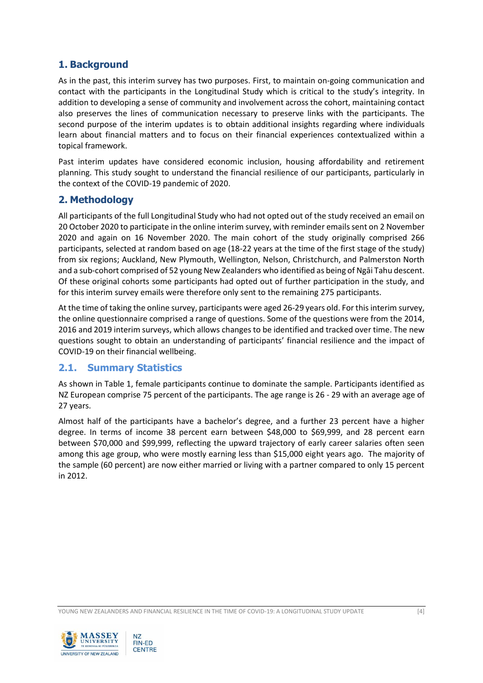## **1. Background**

As in the past, this interim survey has two purposes. First, to maintain on-going communication and contact with the participants in the Longitudinal Study which is critical to the study's integrity. In addition to developing a sense of community and involvement across the cohort, maintaining contact also preserves the lines of communication necessary to preserve links with the participants. The second purpose of the interim updates is to obtain additional insights regarding where individuals learn about financial matters and to focus on their financial experiences contextualized within a topical framework.

Past interim updates have considered economic inclusion, housing affordability and retirement planning. This study sought to understand the financial resilience of our participants, particularly in the context of the COVID-19 pandemic of 2020.

#### **2. Methodology**

All participants of the full Longitudinal Study who had not opted out of the study received an email on 20 October 2020 to participate in the online interim survey, with reminder emailssent on 2 November 2020 and again on 16 November 2020. The main cohort of the study originally comprised 266 participants, selected at random based on age (18-22 years at the time of the first stage of the study) from six regions; Auckland, New Plymouth, Wellington, Nelson, Christchurch, and Palmerston North and a sub-cohort comprised of 52 young New Zealanders who identified as being of Ngāi Tahu descent. Of these original cohorts some participants had opted out of further participation in the study, and for this interim survey emails were therefore only sent to the remaining 275 participants.

At the time of taking the online survey, participants were aged 26-29 years old. For this interim survey, the online questionnaire comprised a range of questions. Some of the questions were from the 2014, 2016 and 2019 interim surveys, which allows changes to be identified and tracked over time. The new questions sought to obtain an understanding of participants' financial resilience and the impact of COVID-19 on their financial wellbeing.

#### **2.1. Summary Statistics**

As shown in Table 1, female participants continue to dominate the sample. Participants identified as NZ European comprise 75 percent of the participants. The age range is 26 - 29 with an average age of 27 years.

Almost half of the participants have a bachelor's degree, and a further 23 percent have a higher degree. In terms of income 38 percent earn between \$48,000 to \$69,999, and 28 percent earn between \$70,000 and \$99,999, reflecting the upward trajectory of early career salaries often seen among this age group, who were mostly earning less than \$15,000 eight years ago. The majority of the sample (60 percent) are now either married or living with a partner compared to only 15 percent in 2012.

YOUNG NEW ZEALANDERS AND FINANCIAL RESILIENCE IN THE TIME OF COVID-19: A LONGITUDINAL STUDY UPDATE [4]

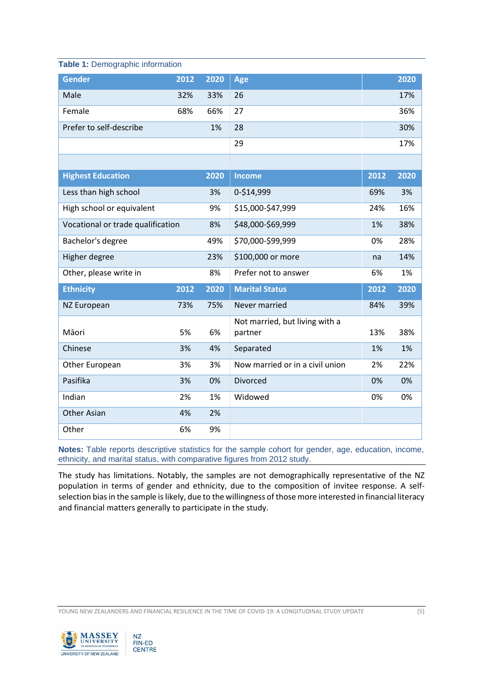| <b>Table 1: Demographic information</b> |      |      |                                           |      |      |
|-----------------------------------------|------|------|-------------------------------------------|------|------|
| <b>Gender</b>                           | 2012 | 2020 | Age                                       |      | 2020 |
| Male                                    | 32%  | 33%  | 26                                        |      | 17%  |
| Female                                  | 68%  | 66%  | 27                                        |      | 36%  |
| Prefer to self-describe                 |      | 1%   | 28                                        |      | 30%  |
|                                         |      |      | 29                                        |      | 17%  |
|                                         |      |      |                                           |      |      |
| <b>Highest Education</b>                |      | 2020 | <b>Income</b>                             | 2012 | 2020 |
| Less than high school                   |      | 3%   | 0-\$14,999                                | 69%  | 3%   |
| High school or equivalent               |      | 9%   | \$15,000-\$47,999                         | 24%  | 16%  |
| Vocational or trade qualification       |      | 8%   | \$48,000-\$69,999                         | 1%   | 38%  |
| Bachelor's degree                       |      | 49%  | \$70,000-\$99,999                         | 0%   | 28%  |
| Higher degree                           |      | 23%  | \$100,000 or more                         | na   | 14%  |
| Other, please write in                  |      | 8%   | Prefer not to answer                      | 6%   | 1%   |
| <b>Ethnicity</b>                        | 2012 | 2020 | <b>Marital Status</b>                     | 2012 | 2020 |
| <b>NZ European</b>                      | 73%  | 75%  | Never married                             | 84%  | 39%  |
| Māori                                   | 5%   | 6%   | Not married, but living with a<br>partner | 13%  | 38%  |
| Chinese                                 | 3%   | 4%   | Separated                                 | 1%   | 1%   |
| Other European                          | 3%   | 3%   | Now married or in a civil union           | 2%   | 22%  |
| Pasifika                                | 3%   | 0%   | Divorced                                  | 0%   | 0%   |
| Indian                                  | 2%   | 1%   | Widowed                                   | 0%   | 0%   |
| Other Asian                             | 4%   | 2%   |                                           |      |      |
| Other                                   | 6%   | 9%   |                                           |      |      |

**Notes:** Table reports descriptive statistics for the sample cohort for gender, age, education, income, ethnicity, and marital status, with comparative figures from 2012 study.

The study has limitations. Notably, the samples are not demographically representative of the NZ population in terms of gender and ethnicity, due to the composition of invitee response. A selfselection bias in the sample is likely, due to the willingness of those more interested in financial literacy and financial matters generally to participate in the study.

YOUNG NEW ZEALANDERS AND FINANCIAL RESILIENCE IN THE TIME OF COVID-19: A LONGITUDINAL STUDY UPDATE [5]

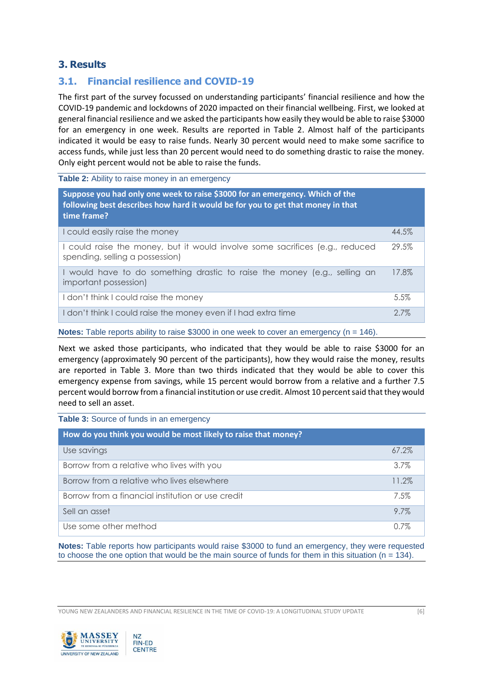## **3. Results**

## **3.1. Financial resilience and COVID-19**

The first part of the survey focussed on understanding participants' financial resilience and how the COVID-19 pandemic and lockdowns of 2020 impacted on their financial wellbeing. First, we looked at general financial resilience and we asked the participants how easily they would be able to raise \$3000 for an emergency in one week. Results are reported in Table 2. Almost half of the participants indicated it would be easy to raise funds. Nearly 30 percent would need to make some sacrifice to access funds, while just less than 20 percent would need to do something drastic to raise the money. Only eight percent would not be able to raise the funds.

Table 2: Ability to raise money in an emergency

| Suppose you had only one week to raise \$3000 for an emergency. Which of the<br>following best describes how hard it would be for you to get that money in that<br>time frame? |       |
|--------------------------------------------------------------------------------------------------------------------------------------------------------------------------------|-------|
| I could easily raise the money                                                                                                                                                 | 44.5% |
| I could raise the money, but it would involve some sacrifices (e.g., reduced<br>spending, selling a possession)                                                                | 29.5% |
| I would have to do something drastic to raise the money (e.g., selling an<br>important possession)                                                                             | 17.8% |
| I don't think I could raise the money                                                                                                                                          | 5.5%  |
| I don't think I could raise the money even if I had extra time                                                                                                                 | 2.7%  |

**Notes:** Table reports ability to raise \$3000 in one week to cover an emergency (n = 146).

Next we asked those participants, who indicated that they would be able to raise \$3000 for an emergency (approximately 90 percent of the participants), how they would raise the money, results are reported in Table 3. More than two thirds indicated that they would be able to cover this emergency expense from savings, while 15 percent would borrow from a relative and a further 7.5 percent would borrow from a financial institution or use credit. Almost 10 percent said that they would need to sell an asset.

**Table 3:** Source of funds in an emergency

| How do you think you would be most likely to raise that money? |          |
|----------------------------------------------------------------|----------|
| Use savings                                                    | $67.2\%$ |
| Borrow from a relative who lives with you                      | 3.7%     |
| Borrow from a relative who lives elsewhere                     | 11.2%    |
| Borrow from a financial institution or use credit              | 7.5%     |
| Sell an asset                                                  | 9.7%     |
| Use some other method                                          | $0.7\%$  |

**Notes:** Table reports how participants would raise \$3000 to fund an emergency, they were requested to choose the one option that would be the main source of funds for them in this situation ( $n = 134$ ).

YOUNG NEW ZEALANDERS AND FINANCIAL RESILIENCE IN THE TIME OF COVID-19: A LONGITUDINAL STUDY UPDATE [6]

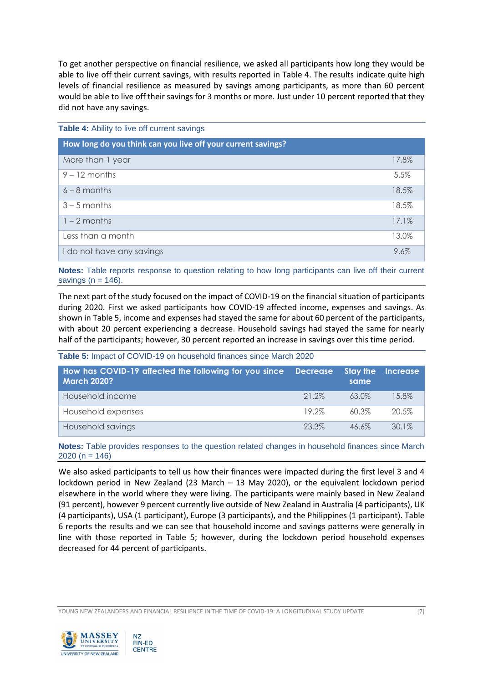To get another perspective on financial resilience, we asked all participants how long they would be able to live off their current savings, with results reported in Table 4. The results indicate quite high levels of financial resilience as measured by savings among participants, as more than 60 percent would be able to live off their savings for 3 months or more. Just under 10 percent reported that they did not have any savings.

| Table 4: Ability to live off current savings                 |       |
|--------------------------------------------------------------|-------|
| How long do you think can you live off your current savings? |       |
| More than 1 year                                             | 17.8% |
| $9 - 12$ months                                              | 5.5%  |
| $6 - 8$ months                                               | 18.5% |
| $3 - 5$ months                                               | 18.5% |
| $1 - 2$ months                                               | 17.1% |
| Less than a month                                            | 13.0% |
| I do not have any savings                                    | 9.6%  |

**Notes:** Table reports response to question relating to how long participants can live off their current savings  $(n = 146)$ .

The next part of the study focused on the impact of COVID-19 on the financial situation of participants during 2020. First we asked participants how COVID-19 affected income, expenses and savings. As shown in Table 5, income and expenses had stayed the same for about 60 percent of the participants, with about 20 percent experiencing a decrease. Household savings had stayed the same for nearly half of the participants; however, 30 percent reported an increase in savings over this time period.

**Table 5:** Impact of COVID-19 on household finances since March 2020

| How has COVID-19 affected the following for you since Decrease<br><b>March 2020?</b> |       | <b>Stay the</b><br>same | <b>Increase</b> |
|--------------------------------------------------------------------------------------|-------|-------------------------|-----------------|
| Household income                                                                     | 21.2% | 63.0%                   | 15.8%           |
| Household expenses                                                                   | 19.2% | 60.3%                   | 20.5%           |
| Household savings                                                                    | 23.3% | $46.6\%$                | 30.1%           |

**Notes:** Table provides responses to the question related changes in household finances since March 2020 ( $n = 146$ )

We also asked participants to tell us how their finances were impacted during the first level 3 and 4 lockdown period in New Zealand (23 March – 13 May 2020), or the equivalent lockdown period elsewhere in the world where they were living. The participants were mainly based in New Zealand (91 percent), however 9 percent currently live outside of New Zealand in Australia (4 participants), UK (4 participants), USA (1 participant), Europe (3 participants), and the Philippines (1 participant). Table 6 reports the results and we can see that household income and savings patterns were generally in line with those reported in Table 5; however, during the lockdown period household expenses decreased for 44 percent of participants.

YOUNG NEW ZEALANDERS AND FINANCIAL RESILIENCE IN THE TIME OF COVID-19: A LONGITUDINAL STUDY UPDATE [7]

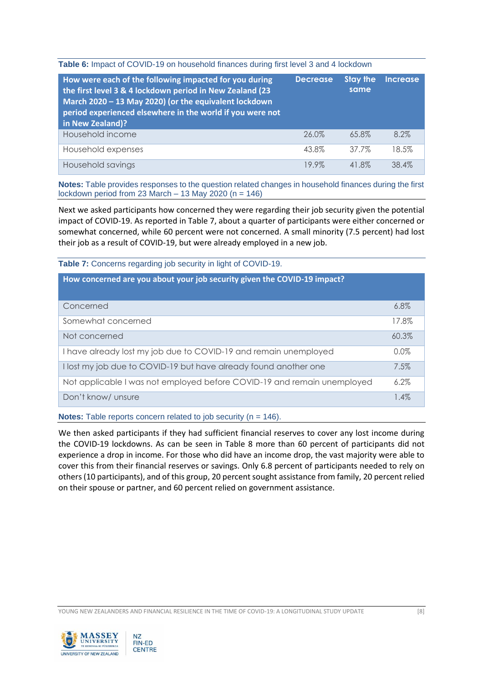**Table 6:** Impact of COVID-19 on household finances during first level 3 and 4 lockdown

| How were each of the following impacted for you during<br>the first level 3 & 4 lockdown period in New Zealand (23<br>March 2020 - 13 May 2020) (or the equivalent lockdown<br>period experienced elsewhere in the world if you were not<br>in New Zealand)? | <b>Decrease</b> | <b>Stay the</b><br>same | <b>Increase</b> |
|--------------------------------------------------------------------------------------------------------------------------------------------------------------------------------------------------------------------------------------------------------------|-----------------|-------------------------|-----------------|
| Household income                                                                                                                                                                                                                                             | 26.0%           | 65.8%                   | 8.2%            |
| Household expenses                                                                                                                                                                                                                                           | 43.8%           | 37.7%                   | 18.5%           |
| Household savings                                                                                                                                                                                                                                            | 19.9%           | 41.8%                   | 38.4%           |

**Notes:** Table provides responses to the question related changes in household finances during the first lockdown period from 23 March  $-$  13 May 2020 (n = 146)

Next we asked participants how concerned they were regarding their job security given the potential impact of COVID-19. As reported in Table 7, about a quarter of participants were either concerned or somewhat concerned, while 60 percent were not concerned. A small minority (7.5 percent) had lost their job as a result of COVID-19, but were already employed in a new job.

**Table 7:** Concerns regarding job security in light of COVID-19.

| How concerned are you about your job security given the COVID-19 impact? |         |
|--------------------------------------------------------------------------|---------|
| Concerned                                                                | 6.8%    |
| Somewhat concerned                                                       | 17.8%   |
| Not concerned                                                            | 60.3%   |
| I have already lost my job due to COVID-19 and remain unemployed         | $0.0\%$ |
| I lost my job due to COVID-19 but have already found another one         | 7.5%    |
| Not applicable I was not employed before COVID-19 and remain unemployed  | 6.2%    |
| Don't know/ unsure                                                       | 1.4%    |

**Notes:** Table reports concern related to job security (n = 146).

We then asked participants if they had sufficient financial reserves to cover any lost income during the COVID-19 lockdowns. As can be seen in Table 8 more than 60 percent of participants did not experience a drop in income. For those who did have an income drop, the vast majority were able to cover this from their financial reserves or savings. Only 6.8 percent of participants needed to rely on others (10 participants), and of this group, 20 percent sought assistance from family, 20 percent relied on their spouse or partner, and 60 percent relied on government assistance.

YOUNG NEW ZEALANDERS AND FINANCIAL RESILIENCE IN THE TIME OF COVID-19: A LONGITUDINAL STUDY UPDATE [8]

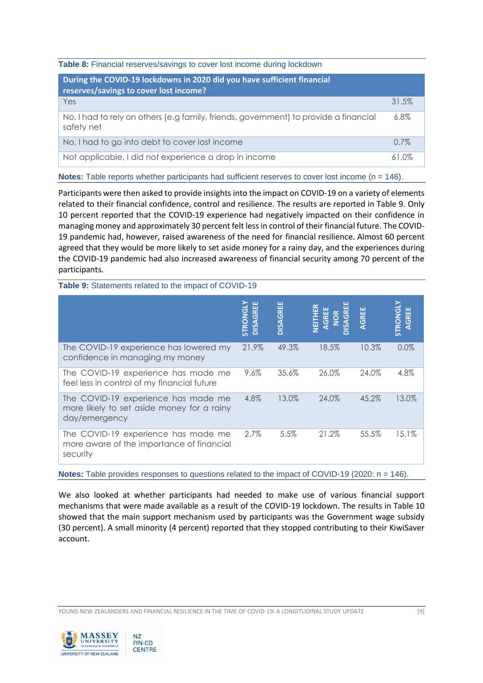**Table 8:** Financial reserves/savings to cover lost income during lockdown

| During the COVID-19 lockdowns in 2020 did you have sufficient financial<br>reserves/savings to cover lost income? |         |
|-------------------------------------------------------------------------------------------------------------------|---------|
| Yes                                                                                                               | 31.5%   |
| No, I had to rely on others (e.g family, friends, government) to provide a financial<br>safety net                | 6.8%    |
| No, I had to go into debt to cover lost income                                                                    | $0.7\%$ |
| Not applicable, I did not experience a drop in income                                                             | 61 ሰ%   |

**Notes:** Table reports whether participants had sufficient reserves to cover lost income (n = 146).

Participants were then asked to provide insights into the impact on COVID-19 on a variety of elements related to their financial confidence, control and resilience. The results are reported in Table 9. Only 10 percent reported that the COVID-19 experience had negatively impacted on their confidence in managing money and approximately 30 percent felt less in control of their financial future. The COVID-19 pandemic had, however, raised awareness of the need for financial resilience. Almost 60 percent agreed that they would be more likely to set aside money for a rainy day, and the experiences during the COVID-19 pandemic had also increased awareness of financial security among 70 percent of the participants.

#### **Table 9:** Statements related to the impact of COVID-19

|                                                                                                    | 出<br>STRONGL<br><b>DISAGRI</b> | <b>DISAGREE</b> | <b>WEITHE</b><br><b>GREE</b><br><b>AGRI</b> | GREE  | STRONGLY<br>AGREE |
|----------------------------------------------------------------------------------------------------|--------------------------------|-----------------|---------------------------------------------|-------|-------------------|
| The COVID-19 experience has lowered my<br>confidence in managing my money                          | 21.9%                          | 49.3%           | 18.5%                                       | 10.3% | 0.0%              |
| The COVID-19 experience has made me<br>feel less in control of my financial future                 | 9.6%                           | 35.6%           | 26.0%                                       | 24.0% | 4.8%              |
| The COVID-19 experience has made me<br>more likely to set aside money for a rainy<br>day/emergency | 4.8%                           | 13.0%           | 24.0%                                       | 45.2% | 13.0%             |
| The COVID-19 experience has made me<br>more aware of the importance of financial<br>security       | $2.7\%$                        | 5.5%            | 21.2%                                       | 55.5% | 15.1%             |

**Notes:** Table provides responses to questions related to the impact of COVID-19 (2020: n = 146).

We also looked at whether participants had needed to make use of various financial support mechanisms that were made available as a result of the COVID-19 lockdown. The results in Table 10 showed that the main support mechanism used by participants was the Government wage subsidy (30 percent). A small minority (4 percent) reported that they stopped contributing to their KiwiSaver account.

YOUNG NEW ZEALANDERS AND FINANCIAL RESILIENCE IN THE TIME OF COVID-19: A LONGITUDINAL STUDY UPDATE [9]

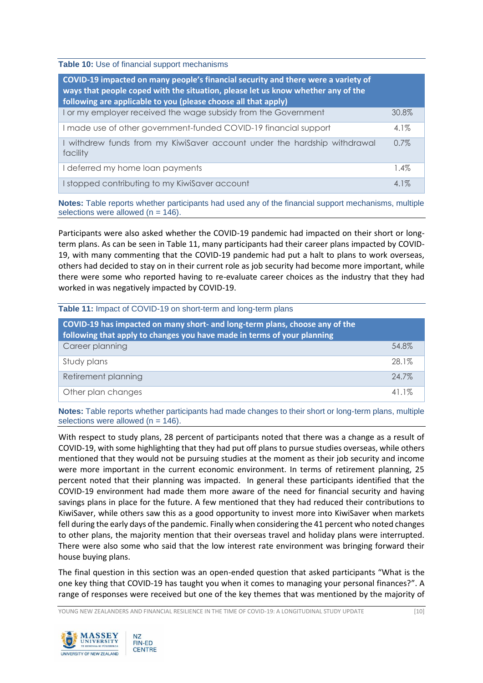**Table 10:** Use of financial support mechanisms

| COVID-19 impacted on many people's financial security and there were a variety of<br>ways that people coped with the situation, please let us know whether any of the<br>following are applicable to you (please choose all that apply) |         |
|-----------------------------------------------------------------------------------------------------------------------------------------------------------------------------------------------------------------------------------------|---------|
| I or my employer received the wage subsidy from the Government                                                                                                                                                                          | 30.8%   |
| I made use of other government-funded COVID-19 financial support                                                                                                                                                                        | $4.1\%$ |
| I withdrew funds from my KiwiSaver account under the hardship withdrawal<br>facility                                                                                                                                                    | 0.7%    |
| deferred my home loan payments                                                                                                                                                                                                          | 1.4%    |
| I stopped contributing to my KiwiSaver account                                                                                                                                                                                          | $4.1\%$ |

**Notes:** Table reports whether participants had used any of the financial support mechanisms, multiple selections were allowed ( $n = 146$ ).

Participants were also asked whether the COVID-19 pandemic had impacted on their short or longterm plans. As can be seen in Table 11, many participants had their career plans impacted by COVID-19, with many commenting that the COVID-19 pandemic had put a halt to plans to work overseas, others had decided to stay on in their current role as job security had become more important, while there were some who reported having to re-evaluate career choices as the industry that they had worked in was negatively impacted by COVID-19.

| <b>Table 11:</b> Impact of COVID-19 on short-term and long-term plans                                                                                  |       |
|--------------------------------------------------------------------------------------------------------------------------------------------------------|-------|
| COVID-19 has impacted on many short- and long-term plans, choose any of the<br>following that apply to changes you have made in terms of your planning |       |
| Career planning                                                                                                                                        | 54.8% |
| Study plans                                                                                                                                            | 28.1% |
| Retirement planning                                                                                                                                    | 24.7% |
| Other plan changes                                                                                                                                     | 41.1% |

**Notes:** Table reports whether participants had made changes to their short or long-term plans, multiple selections were allowed ( $n = 146$ ).

With respect to study plans, 28 percent of participants noted that there was a change as a result of COVID-19, with some highlighting that they had put off plans to pursue studies overseas, while others mentioned that they would not be pursuing studies at the moment as their job security and income were more important in the current economic environment. In terms of retirement planning, 25 percent noted that their planning was impacted. In general these participants identified that the COVID-19 environment had made them more aware of the need for financial security and having savings plans in place for the future. A few mentioned that they had reduced their contributions to KiwiSaver, while others saw this as a good opportunity to invest more into KiwiSaver when markets fell during the early days of the pandemic. Finally when considering the 41 percent who noted changes to other plans, the majority mention that their overseas travel and holiday plans were interrupted. There were also some who said that the low interest rate environment was bringing forward their house buying plans.

The final question in this section was an open-ended question that asked participants "What is the one key thing that COVID-19 has taught you when it comes to managing your personal finances?". A range of responses were received but one of the key themes that was mentioned by the majority of

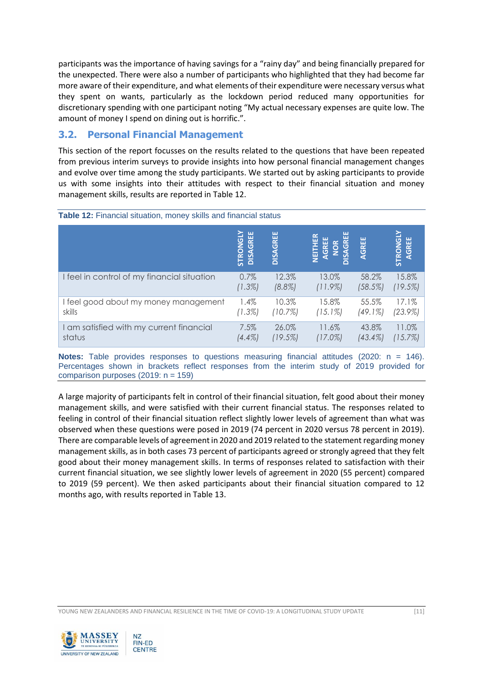participants was the importance of having savings for a "rainy day" and being financially prepared for the unexpected. There were also a number of participants who highlighted that they had become far more aware of their expenditure, and what elements of their expenditure were necessary versus what they spent on wants, particularly as the lockdown period reduced many opportunities for discretionary spending with one participant noting "My actual necessary expenses are quite low. The amount of money I spend on dining out is horrific.".

## **3.2. Personal Financial Management**

This section of the report focusses on the results related to the questions that have been repeated from previous interim surveys to provide insights into how personal financial management changes and evolve over time among the study participants. We started out by asking participants to provide us with some insights into their attitudes with respect to their financial situation and money management skills, results are reported in Table 12.

| Table 12: Financial situation, money skills and financial status |                      |                 |                                                                              |            |                   |  |
|------------------------------------------------------------------|----------------------|-----------------|------------------------------------------------------------------------------|------------|-------------------|--|
|                                                                  | STRONGLY<br>DISAGREE | <b>DISAGREE</b> | NEITHER<br>AGREE<br>$\overline{G}$<br><b>NOK</b><br>$\overline{\phantom{a}}$ | AGREE      | STRONGLY<br>AGREE |  |
| I feel in control of my financial situation                      | 0.7%                 | 12.3%           | 13.0%                                                                        | 58.2%      | 15.8%             |  |
|                                                                  | (1.3%)               | $(8.8\%)$       | (11.9%)                                                                      | (58.5%)    | (19.5%)           |  |
| I feel good about my money management                            | 1.4%                 | 10.3%           | 15.8%                                                                        | 55.5%      | 17.1%             |  |
| skills                                                           | (1.3%)               | (10.7%)         | $(15.1\%)$                                                                   | $(49.1\%)$ | (23.9%)           |  |
| I am satisfied with my current financial                         | 7.5%                 | 26.0%           | 11.6%                                                                        | 43.8%      | 11.0%             |  |
| status                                                           | $(4.4\%)$            | (19.5%)         | $(17.0\%)$                                                                   | $(43.4\%)$ | (15.7%)           |  |

**Notes:** Table provides responses to questions measuring financial attitudes (2020: n = 146). Percentages shown in brackets reflect responses from the interim study of 2019 provided for comparison purposes (2019:  $n = 159$ )

A large majority of participants felt in control of their financial situation, felt good about their money management skills, and were satisfied with their current financial status. The responses related to feeling in control of their financial situation reflect slightly lower levels of agreement than what was observed when these questions were posed in 2019 (74 percent in 2020 versus 78 percent in 2019). There are comparable levels of agreement in 2020 and 2019 related to the statement regarding money management skills, as in both cases 73 percent of participants agreed or strongly agreed that they felt good about their money management skills. In terms of responses related to satisfaction with their current financial situation, we see slightly lower levels of agreement in 2020 (55 percent) compared to 2019 (59 percent). We then asked participants about their financial situation compared to 12 months ago, with results reported in Table 13.

YOUNG NEW ZEALANDERS AND FINANCIAL RESILIENCE IN THE TIME OF COVID-19: A LONGITUDINAL STUDY UPDATE [11]

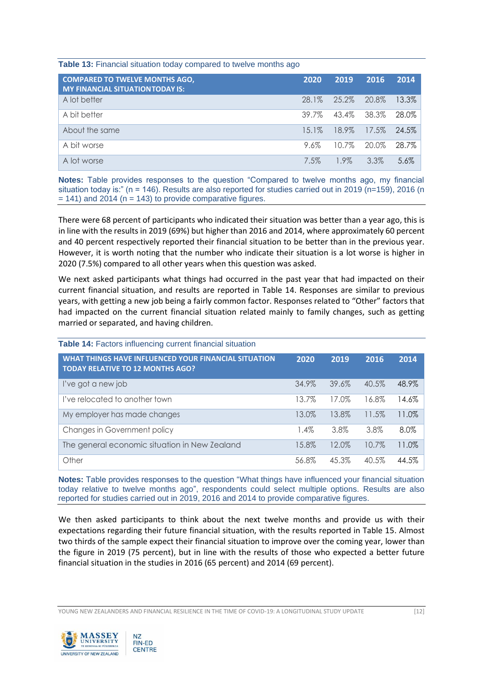#### **Table 13:** Financial situation today compared to twelve months ago

| <b>COMPARED TO TWELVE MONTHS AGO,</b><br><b>MY FINANCIAL SITUATION TODAY IS:</b> | 2020    | 2019                    | 2016    | 2014     |
|----------------------------------------------------------------------------------|---------|-------------------------|---------|----------|
| A lot better                                                                     | 28.1%   | 25.2% 20.8%             |         | $13.3\%$ |
| A bit better                                                                     | 39.7%   | 43.4% 38.3% 28.0%       |         |          |
| About the same                                                                   |         | 15.1% 18.9% 17.5% 24.5% |         |          |
| A bit worse                                                                      | 9.6%    | 10.7% 20.0%             |         | 28.7%    |
| A lot worse                                                                      | $7.5\%$ | 1.9%                    | $3.3\%$ | $5.6\%$  |

**Notes:** Table provides responses to the question "Compared to twelve months ago, my financial situation today is:" (n = 146). Results are also reported for studies carried out in 2019 (n=159), 2016 (n  $= 141$ ) and 2014 (n = 143) to provide comparative figures.

There were 68 percent of participants who indicated their situation was better than a year ago, this is in line with the results in 2019 (69%) but higher than 2016 and 2014, where approximately 60 percent and 40 percent respectively reported their financial situation to be better than in the previous year. However, it is worth noting that the number who indicate their situation is a lot worse is higher in 2020 (7.5%) compared to all other years when this question was asked.

We next asked participants what things had occurred in the past year that had impacted on their current financial situation, and results are reported in Table 14. Responses are similar to previous years, with getting a new job being a fairly common factor. Responses related to "Other" factors that had impacted on the current financial situation related mainly to family changes, such as getting married or separated, and having children.

| Table 14: Factors influencing current financial situation                                       |         |       |       |       |
|-------------------------------------------------------------------------------------------------|---------|-------|-------|-------|
| WHAT THINGS HAVE INFLUENCED YOUR FINANCIAL SITUATION<br><b>TODAY RELATIVE TO 12 MONTHS AGO?</b> | 2020    | 2019  | 2016  | 2014  |
| l've got a new job                                                                              | 34.9%   | 39.6% | 40.5% | 48.9% |
| I've relocated to another town                                                                  | 13.7%   | 17.0% | 16.8% | 14.6% |
| My employer has made changes                                                                    | 13.0%   | 13.8% | 11.5% | 11.0% |
| Changes in Government policy                                                                    | $1.4\%$ | 3.8%  | 3.8%  | 8.0%  |
| The general economic situation in New Zealand                                                   | 15.8%   | 12.0% | 10.7% | 11.0% |
| Other                                                                                           | 56.8%   | 45.3% | 40.5% | 44.5% |

**Notes:** Table provides responses to the question "What things have influenced your financial situation today relative to twelve months ago", respondents could select multiple options. Results are also reported for studies carried out in 2019, 2016 and 2014 to provide comparative figures.

We then asked participants to think about the next twelve months and provide us with their expectations regarding their future financial situation, with the results reported in Table 15. Almost two thirds of the sample expect their financial situation to improve over the coming year, lower than the figure in 2019 (75 percent), but in line with the results of those who expected a better future financial situation in the studies in 2016 (65 percent) and 2014 (69 percent).

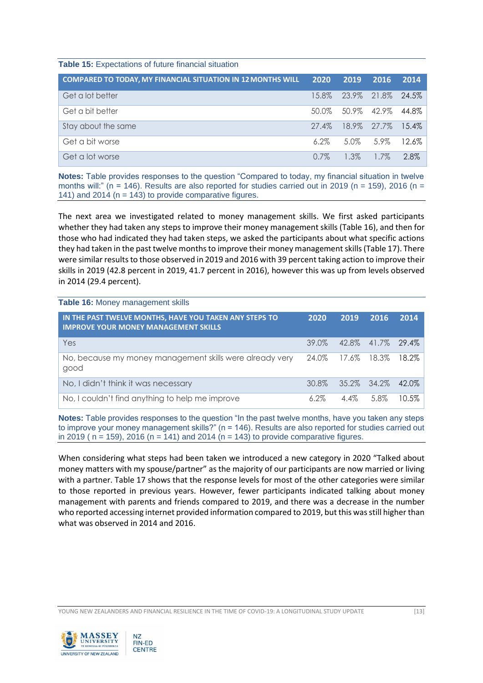| <b>COMPARED TO TODAY, MY FINANCIAL SITUATION IN 12 MONTHS WILL</b> | 2020     | 2019                    | 2016      | 2014  |
|--------------------------------------------------------------------|----------|-------------------------|-----------|-------|
| Get a lot better                                                   |          | 15.8% 23.9% 21.8% 24.5% |           |       |
| Get a bit better                                                   |          | 50.0% 50.9% 42.9% 44.8% |           |       |
| Stay about the same                                                | $27.4\%$ | 18.9% 27.7% 15.4%       |           |       |
| Get a bit worse                                                    | $6.2\%$  |                         | 5.0% 5.9% | 12.6% |
| Get a lot worse                                                    | $0.7\%$  | $1.3\%$                 | $1.7\%$   | 2.8%  |

**Notes:** Table provides responses to the question "Compared to today, my financial situation in twelve months will:" (n = 146). Results are also reported for studies carried out in 2019 (n = 159), 2016 (n = 141) and 2014 ( $n = 143$ ) to provide comparative figures.

The next area we investigated related to money management skills. We first asked participants whether they had taken any steps to improve their money management skills (Table 16), and then for those who had indicated they had taken steps, we asked the participants about what specific actions they had taken in the past twelve months to improve their money management skills (Table 17). There were similar results to those observed in 2019 and 2016 with 39 percent taking action to improve their skills in 2019 (42.8 percent in 2019, 41.7 percent in 2016), however this was up from levels observed in 2014 (29.4 percent).

**Table 16:** Money management skills

| IN THE PAST TWELVE MONTHS, HAVE YOU TAKEN ANY STEPS TO<br><b>IMPROVE YOUR MONEY MANAGEMENT SKILLS</b> | 2020                    | 2019                    | 2016 | 2014            |
|-------------------------------------------------------------------------------------------------------|-------------------------|-------------------------|------|-----------------|
| Yes                                                                                                   |                         | 39.0% 42.8% 41.7% 29.4% |      |                 |
| No, because my money management skills were already very<br>good                                      | 24.0% 17.6% 18.3% 18.2% |                         |      |                 |
| No, I didn't think it was necessary                                                                   |                         | 30.8% 35.2% 34.2% 42.0% |      |                 |
| No, I couldn't find anything to help me improve                                                       | $6.2\%$                 |                         |      | 4.4% 5.8% 10.5% |

**Notes:** Table provides responses to the question "In the past twelve months, have you taken any steps to improve your money management skills?" (n = 146). Results are also reported for studies carried out in 2019 ( $n = 159$ ), 2016 ( $n = 141$ ) and 2014 ( $n = 143$ ) to provide comparative figures.

When considering what steps had been taken we introduced a new category in 2020 "Talked about money matters with my spouse/partner" as the majority of our participants are now married or living with a partner. Table 17 shows that the response levels for most of the other categories were similar to those reported in previous years. However, fewer participants indicated talking about money management with parents and friends compared to 2019, and there was a decrease in the number who reported accessing internet provided information compared to 2019, but this was still higher than what was observed in 2014 and 2016.

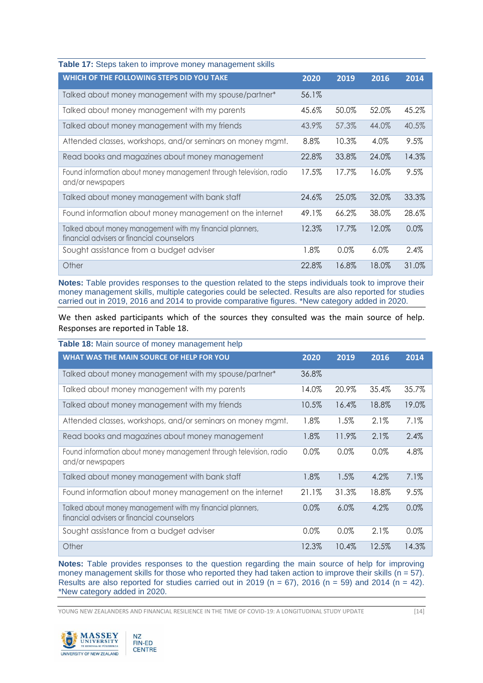| Table 17: Steps taken to improve money management skills                                                |         |         |         |         |
|---------------------------------------------------------------------------------------------------------|---------|---------|---------|---------|
| WHICH OF THE FOLLOWING STEPS DID YOU TAKE                                                               | 2020    | 2019    | 2016    | 2014    |
| Talked about money management with my spouse/partner*                                                   | 56.1%   |         |         |         |
| Talked about money management with my parents                                                           | 45.6%   | 50.0%   | 52.0%   | 45.2%   |
| Talked about money management with my friends                                                           | 43.9%   | 57.3%   | 44.0%   | 40.5%   |
| Attended classes, workshops, and/or seminars on money mgmt.                                             | 8.8%    | 10.3%   | 4.0%    | 9.5%    |
| Read books and magazines about money management                                                         | 22.8%   | 33.8%   | 24.0%   | 14.3%   |
| Found information about money management through television, radio<br>and/or newspapers                 | 17.5%   | 17.7%   | 16.0%   | $9.5\%$ |
| Talked about money management with bank staff                                                           | 24.6%   | 25.0%   | 32.0%   | 33.3%   |
| Found information about money management on the internet                                                | 49.1%   | 66.2%   | 38.0%   | 28.6%   |
| Talked about money management with my financial planners,<br>financial advisers or financial counselors | 12.3%   | 17.7%   | 12.0%   | $0.0\%$ |
| Sought assistance from a budget adviser                                                                 | $1.8\%$ | $0.0\%$ | $6.0\%$ | 2.4%    |
| Other                                                                                                   | 22.8%   | 16.8%   | 18.0%   | 31.0%   |

**Notes:** Table provides responses to the question related to the steps individuals took to improve their money management skills, multiple categories could be selected. Results are also reported for studies carried out in 2019, 2016 and 2014 to provide comparative figures. \*New category added in 2020.

We then asked participants which of the sources they consulted was the main source of help. Responses are reported in Table 18.

| WHAT WAS THE MAIN SOURCE OF HELP FOR YOU                                                                | 2020     | 2019    | 2016  | 2014    |
|---------------------------------------------------------------------------------------------------------|----------|---------|-------|---------|
| Talked about money management with my spouse/partner*                                                   | 36.8%    |         |       |         |
| Talked about money management with my parents                                                           | 14.0%    | 20.9%   | 35.4% | 35.7%   |
| Talked about money management with my friends                                                           | 10.5%    | 16.4%   | 18.8% | 19.0%   |
| Attended classes, workshops, and/or seminars on money mgmt.                                             | 1.8%     | 1.5%    | 2.1%  | $7.1\%$ |
| Read books and magazines about money management                                                         | 1.8%     | 11.9%   | 2.1%  | $2.4\%$ |
| Found information about money management through television, radio<br>and/or newspapers                 | 0.0%     | $0.0\%$ | 0.0%  | 4.8%    |
| Talked about money management with bank staff                                                           | 1.8%     | 1.5%    | 4.2%  | 7.1%    |
| Found information about money management on the internet                                                | $21.1\%$ | 31.3%   | 18.8% | 9.5%    |
| Talked about money management with my financial planners,<br>financial advisers or financial counselors | $0.0\%$  | $6.0\%$ | 4.2%  | 0.0%    |
| Sought assistance from a budget adviser                                                                 | $0.0\%$  | $0.0\%$ | 2.1%  | $0.0\%$ |
| Other                                                                                                   | 12.3%    | 10.4%   | 12.5% | 14.3%   |

**Notes:** Table provides responses to the question regarding the main source of help for improving money management skills for those who reported they had taken action to improve their skills ( $n = 57$ ). Results are also reported for studies carried out in 2019 (n = 67), 2016 (n = 59) and 2014 (n = 42). \*New category added in 2020.

YOUNG NEW ZEALANDERS AND FINANCIAL RESILIENCE IN THE TIME OF COVID-19: A LONGITUDINAL STUDY UPDATE [14]

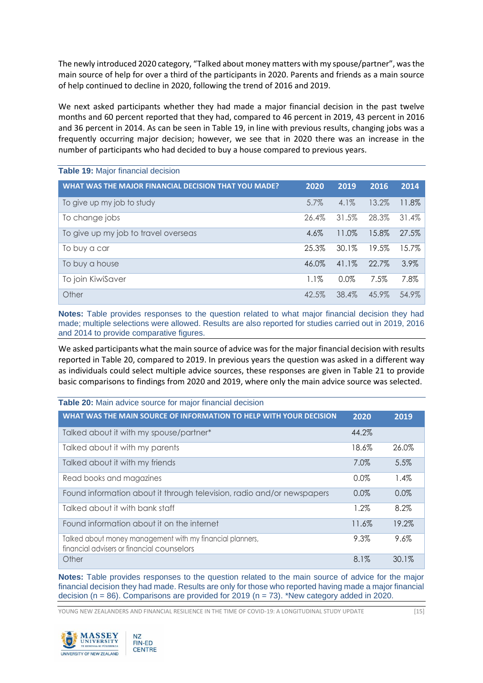The newly introduced 2020 category, "Talked about money matters with my spouse/partner", was the main source of help for over a third of the participants in 2020. Parents and friends as a main source of help continued to decline in 2020, following the trend of 2016 and 2019.

We next asked participants whether they had made a major financial decision in the past twelve months and 60 percent reported that they had, compared to 46 percent in 2019, 43 percent in 2016 and 36 percent in 2014. As can be seen in Table 19, in line with previous results, changing jobs was a frequently occurring major decision; however, we see that in 2020 there was an increase in the number of participants who had decided to buy a house compared to previous years.

| WHAT WAS THE MAJOR FINANCIAL DECISION THAT YOU MADE? | 2020    | 2019     | 2016  | 2014  |
|------------------------------------------------------|---------|----------|-------|-------|
| To give up my job to study                           | 5.7%    | $4.1\%$  | 13.2% | 11.8% |
| To change jobs                                       | 26.4%   | 31.5%    | 28.3% | 31.4% |
| To give up my job to travel overseas                 | 4.6%    | 11.0%    | 15.8% | 27.5% |
| To buy a car                                         | 25.3%   | 30.1%    | 19.5% | 15.7% |
| To buy a house                                       | 46.0%   | $41.1\%$ | 22.7% | 3.9%  |
| To join KiwiSaver                                    | $1.1\%$ | $0.0\%$  | 7.5%  | 7.8%  |
| Other                                                | 42.5%   | 38.4%    | 45.9% | 54.9% |

**Notes:** Table provides responses to the question related to what major financial decision they had made; multiple selections were allowed. Results are also reported for studies carried out in 2019, 2016 and 2014 to provide comparative figures.

We asked participants what the main source of advice was for the major financial decision with results reported in Table 20, compared to 2019. In previous years the question was asked in a different way as individuals could select multiple advice sources, these responses are given in Table 21 to provide basic comparisons to findings from 2020 and 2019, where only the main advice source was selected.

| Table 20: Main advice source for major financial decision                                               |         |          |
|---------------------------------------------------------------------------------------------------------|---------|----------|
| WHAT WAS THE MAIN SOURCE OF INFORMATION TO HELP WITH YOUR DECISION                                      | 2020    | 2019     |
| Talked about it with my spouse/partner*                                                                 | 44.2%   |          |
| Talked about it with my parents                                                                         | 18.6%   | 26.0%    |
| Talked about it with my friends                                                                         | 7.0%    | 5.5%     |
| Read books and magazines                                                                                | $0.0\%$ | $1.4\%$  |
| Found information about it through television, radio and/or newspapers                                  | $0.0\%$ | 0.0%     |
| Talked about it with bank staff                                                                         | 1.2%    | 8.2%     |
| Found information about it on the internet                                                              | 11.6%   | 19.2%    |
| Talked about money management with my financial planners,<br>financial advisers or financial counselors | 9.3%    | 9.6%     |
| Other                                                                                                   | 8.1%    | $30.1\%$ |

**Notes:** Table provides responses to the question related to the main source of advice for the major financial decision they had made. Results are only for those who reported having made a major financial decision ( $n = 86$ ). Comparisons are provided for 2019 ( $n = 73$ ). \*New category added in 2020.

YOUNG NEW ZEALANDERS AND FINANCIAL RESILIENCE IN THE TIME OF COVID-19: A LONGITUDINAL STUDY UPDATE [15]

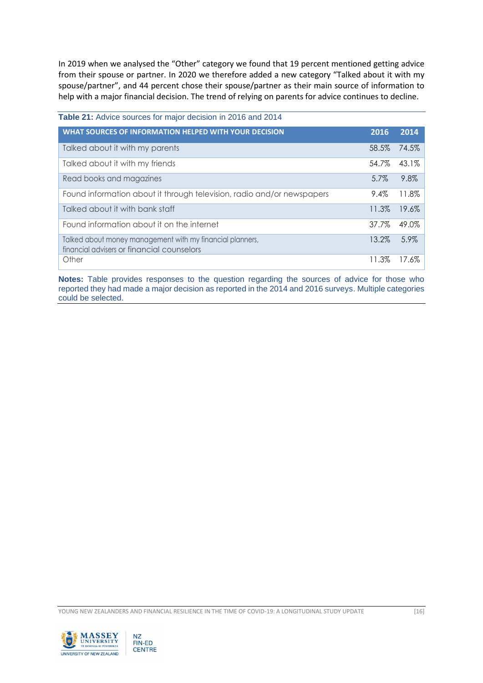In 2019 when we analysed the "Other" category we found that 19 percent mentioned getting advice from their spouse or partner. In 2020 we therefore added a new category "Talked about it with my spouse/partner", and 44 percent chose their spouse/partner as their main source of information to help with a major financial decision. The trend of relying on parents for advice continues to decline.

| Table 21: Advice sources for major decision in 2016 and 2014                                            |         |       |
|---------------------------------------------------------------------------------------------------------|---------|-------|
| WHAT SOURCES OF INFORMATION HELPED WITH YOUR DECISION                                                   | 2016    | 2014  |
| Talked about it with my parents                                                                         | 58.5%   | 74.5% |
| Talked about it with my friends                                                                         | 54.7%   | 43.1% |
| Read books and magazines                                                                                | $5.7\%$ | 9.8%  |
| Found information about it through television, radio and/or newspapers                                  | $9.4\%$ | 11.8% |
| Talked about it with bank staff                                                                         | 11.3%   | 19.6% |
| Found information about it on the internet                                                              | 37.7%   | 49.0% |
| Talked about money management with my financial planners,<br>financial advisers or financial counselors | 13.2%   | 5.9%  |
| Other                                                                                                   | 11.3%   | 17.6% |

**Notes:** Table provides responses to the question regarding the sources of advice for those who reported they had made a major decision as reported in the 2014 and 2016 surveys. Multiple categories could be selected.

YOUNG NEW ZEALANDERS AND FINANCIAL RESILIENCE IN THE TIME OF COVID-19: A LONGITUDINAL STUDY UPDATE [16]

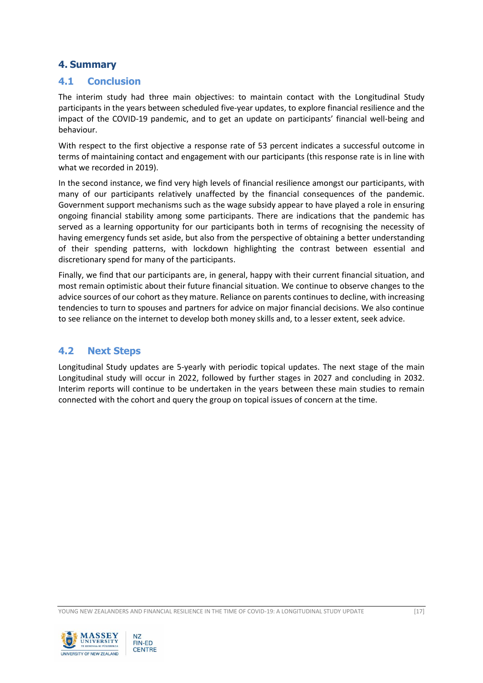## **4. Summary**

#### **4.1 Conclusion**

The interim study had three main objectives: to maintain contact with the Longitudinal Study participants in the years between scheduled five-year updates, to explore financial resilience and the impact of the COVID-19 pandemic, and to get an update on participants' financial well-being and behaviour.

With respect to the first objective a response rate of 53 percent indicates a successful outcome in terms of maintaining contact and engagement with our participants (this response rate is in line with what we recorded in 2019).

In the second instance, we find very high levels of financial resilience amongst our participants, with many of our participants relatively unaffected by the financial consequences of the pandemic. Government support mechanisms such as the wage subsidy appear to have played a role in ensuring ongoing financial stability among some participants. There are indications that the pandemic has served as a learning opportunity for our participants both in terms of recognising the necessity of having emergency funds set aside, but also from the perspective of obtaining a better understanding of their spending patterns, with lockdown highlighting the contrast between essential and discretionary spend for many of the participants.

Finally, we find that our participants are, in general, happy with their current financial situation, and most remain optimistic about their future financial situation. We continue to observe changes to the advice sources of our cohort as they mature. Reliance on parents continues to decline, with increasing tendencies to turn to spouses and partners for advice on major financial decisions. We also continue to see reliance on the internet to develop both money skills and, to a lesser extent, seek advice.

#### **4.2 Next Steps**

Longitudinal Study updates are 5-yearly with periodic topical updates. The next stage of the main Longitudinal study will occur in 2022, followed by further stages in 2027 and concluding in 2032. Interim reports will continue to be undertaken in the years between these main studies to remain connected with the cohort and query the group on topical issues of concern at the time.

YOUNG NEW ZEALANDERS AND FINANCIAL RESILIENCE IN THE TIME OF COVID-19: A LONGITUDINAL STUDY UPDATE [17]